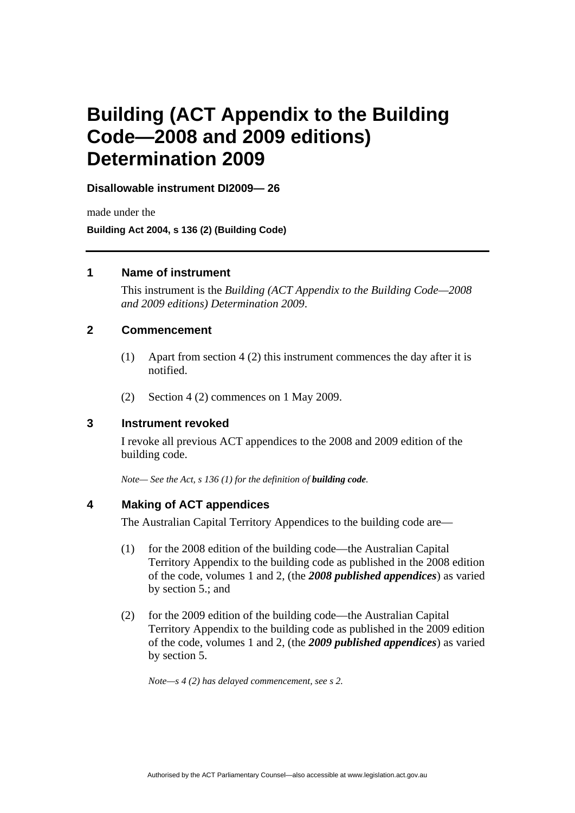# **Building (ACT Appendix to the Building Code—2008 and 2009 editions) Determination 2009**

**Disallowable instrument DI2009— 26**

made under the **Building Act 2004, s 136 (2) (Building Code)** 

### **1 Name of instrument**

This instrument is the *Building (ACT Appendix to the Building Code—2008 and 2009 editions) Determination 2009*.

## **2 Commencement**

- (1) Apart from section 4 (2) this instrument commences the day after it is notified.
- (2) Section 4 (2) commences on 1 May 2009.

### **3 Instrument revoked**

I revoke all previous ACT appendices to the 2008 and 2009 edition of the building code.

*Note— See the Act, s 136 (1) for the definition of <i>building code*.

## **4 Making of ACT appendices**

The Australian Capital Territory Appendices to the building code are—

- (1) for the 2008 edition of the building code—the Australian Capital Territory Appendix to the building code as published in the 2008 edition of the code, volumes 1 and 2, (the *2008 published appendices*) as varied by section 5.; and
- (2) for the 2009 edition of the building code—the Australian Capital Territory Appendix to the building code as published in the 2009 edition of the code, volumes 1 and 2, (the *2009 published appendices*) as varied by section 5.

*Note—s 4 (2) has delayed commencement, see s 2.*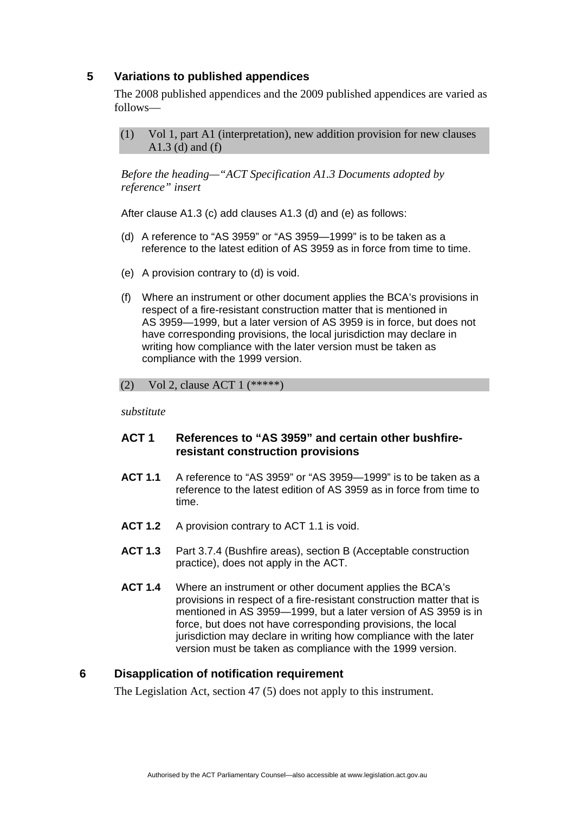# **5 Variations to published appendices**

The 2008 published appendices and the 2009 published appendices are varied as follows—

(1) Vol 1, part A1 (interpretation), new addition provision for new clauses A1.3 (d) and (f)

*Before the heading—"ACT Specification A1.3 Documents adopted by reference" insert* 

After clause A1.3 (c) add clauses A1.3 (d) and (e) as follows:

- (d) A reference to "AS 3959" or "AS 3959—1999" is to be taken as a reference to the latest edition of AS 3959 as in force from time to time.
- (e) A provision contrary to (d) is void.
- (f) Where an instrument or other document applies the BCA's provisions in respect of a fire-resistant construction matter that is mentioned in AS 3959—1999, but a later version of AS 3959 is in force, but does not have corresponding provisions, the local jurisdiction may declare in writing how compliance with the later version must be taken as compliance with the 1999 version.

#### (2) Vol 2, clause ACT 1 (\*\*\*\*\*)

*substitute* 

# **ACT 1 References to "AS 3959" and certain other bushfireresistant construction provisions**

- **ACT 1.1** A reference to "AS 3959" or "AS 3959—1999" is to be taken as a reference to the latest edition of AS 3959 as in force from time to time.
- **ACT 1.2** A provision contrary to ACT 1.1 is void.
- **ACT 1.3** Part 3.7.4 (Bushfire areas), section B (Acceptable construction practice), does not apply in the ACT.
- **ACT 1.4** Where an instrument or other document applies the BCA's provisions in respect of a fire-resistant construction matter that is mentioned in AS 3959—1999, but a later version of AS 3959 is in force, but does not have corresponding provisions, the local jurisdiction may declare in writing how compliance with the later version must be taken as compliance with the 1999 version.

# **6 Disapplication of notification requirement**

The Legislation Act, section 47 (5) does not apply to this instrument.